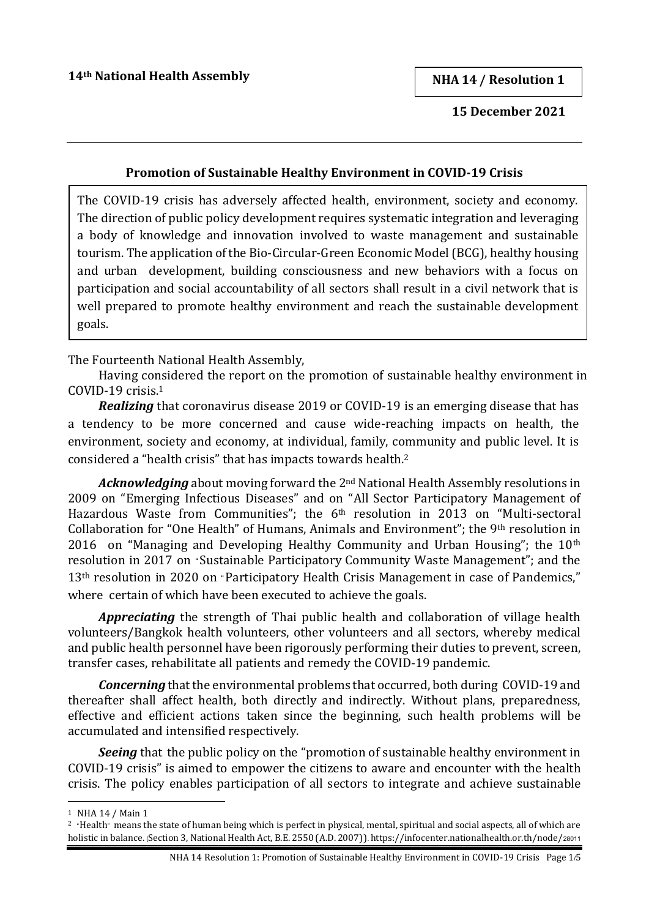**NHA 14 / Resolution 1**

 **15 December 2021**

#### **Promotion of Sustainable Healthy Environment in COVID-19 Crisis**

The COVID-19 crisis has adversely affected health, environment, society and economy. The direction of public policy development requires systematic integration and leveraging a body of knowledge and innovation involved to waste management and sustainable tourism. The application of the Bio-Circular-Green Economic Model(BCG), healthy housing and urban development, building consciousness and new behaviors with a focus on participation and social accountability of all sectors shall result in a civil network that is well prepared to promote healthy environment and reach the sustainable development goals.

The Fourteenth National Health Assembly,

Having considered the report on the promotion of sustainable healthy environment in COVID-19 crisis. 1

*Realizing* that coronavirus disease 2019 or COVID-19 is an emerging disease that has a tendency to be more concerned and cause wide-reaching impacts on health, the environment, society and economy, at individual, family, community and public level. It is considered a "health crisis" that has impacts towards health.<sup>2</sup>

*Acknowledging* about moving forward the 2nd National Health Assembly resolutions in 2009 on "Emerging Infectious Diseases" and on "All Sector Participatory Management of Hazardous Waste from Communities"; the 6th resolution in 2013 on "Multi-sectoral Collaboration for "One Health" of Humans, Animals and Environment"; the 9th resolution in 2016 on "Managing and Developing Healthy Community and Urban Housing"; the 10<sup>th</sup> resolution in 2017 on "Sustainable Participatory Community Waste Management"; and the 13<sup>th</sup> resolution in 2020 on "Participatory Health Crisis Management in case of Pandemics," where certain of which have been executed to achieve the goals.

*Appreciating* the strength of Thai public health and collaboration of village health volunteers/Bangkok health volunteers, other volunteers and all sectors, whereby medical and public health personnel have been rigorously performing their duties to prevent, screen, transfer cases, rehabilitate all patients and remedy the COVID-19 pandemic.

*Concerning* that the environmental problems that occurred, both during COVID-19 and thereafter shall affect health, both directly and indirectly. Without plans, preparedness, effective and efficient actions taken since the beginning, such health problems will be accumulated and intensified respectively.

**Seeing** that the public policy on the "promotion of sustainable healthy environment in COVID-19 crisis" is aimed to empower the citizens to aware and encounter with the health crisis. The policy enables participation of all sectors to integrate and achieve sustainable

<sup>1</sup> NHA 14 / Main 1

<sup>&</sup>lt;sup>2</sup> "Health" means the state of human being which is perfect in physical, mental, spiritual and social aspects, all of which are holistic in balance. (Section 3, National Health Act, B.E. 2550 (A.D. 2007)). https://infocenter.nationalhealth.or.th/node/28011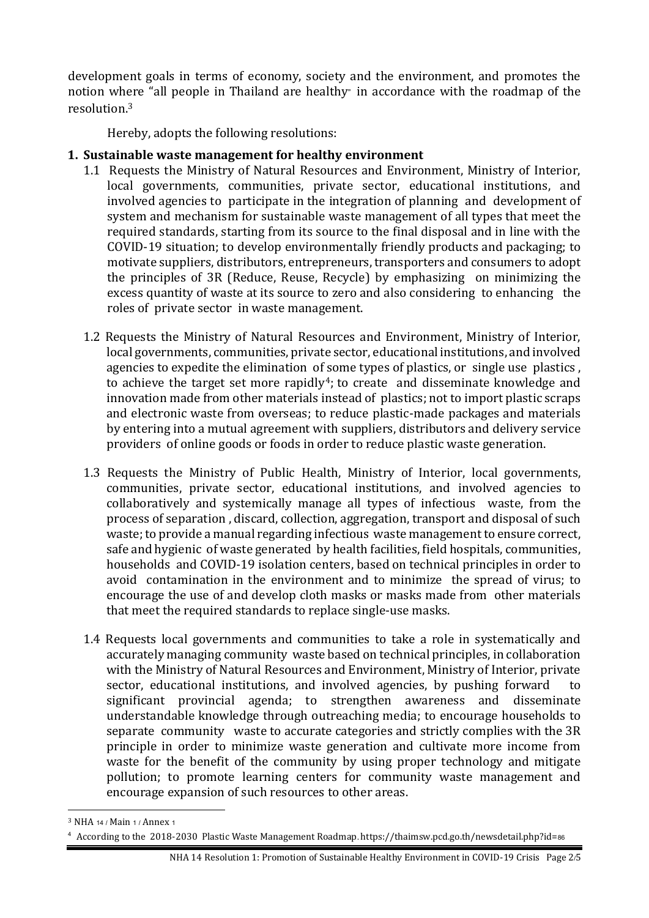development goals in terms of economy, society and the environment, and promotes the notion where "all people in Thailand are healthy" in accordance with the roadmap of the resolution $3$ 

Hereby, adopts the following resolutions:

# **1. Sustainable waste management for healthy environment**

- 1.1 Requests the Ministry of Natural Resources and Environment, Ministry of Interior, local governments, communities, private sector, educational institutions, and involved agencies to participate in the integration of planning and development of system and mechanism for sustainable waste management of all types that meet the required standards, starting from its source to the final disposal and in line with the COVID-19 situation; to develop environmentally friendly products and packaging; to motivate suppliers, distributors, entrepreneurs, transporters and consumers to adopt the principles of 3R (Reduce, Reuse, Recycle) by emphasizing on minimizing the excess quantity of waste at its source to zero and also considering to enhancing the roles of private sector in waste management.
- 1.2 Requests the Ministry of Natural Resources and Environment, Ministry of Interior, local governments, communities, private sector, educational institutions, and involved agencies to expedite the elimination of some types of plastics, or single use plastics , to achieve the target set more rapidly<sup>4</sup>; to create and disseminate knowledge and innovation made from other materials instead of plastics; not to import plastic scraps and electronic waste from overseas; to reduce plastic-made packages and materials by entering into a mutual agreement with suppliers, distributors and delivery service providers of online goods or foods in order to reduce plastic waste generation.
- 1.3 Requests the Ministry of Public Health, Ministry of Interior, local governments, communities, private sector, educational institutions, and involved agencies to collaboratively and systemically manage all types of infectious waste, from the process of separation , discard, collection, aggregation, transport and disposal of such waste; to provide a manual regarding infectious waste management to ensure correct, safe and hygienic of waste generated by health facilities, field hospitals, communities, households and COVID-19 isolation centers, based on technical principles in order to avoid contamination in the environment and to minimize the spread of virus; to encourage the use of and develop cloth masks or masks made from other materials that meet the required standards to replace single-use masks.
- 1.4 Requests local governments and communities to take a role in systematically and accurately managing community waste based on technical principles, in collaboration with the Ministry of Natural Resources and Environment, Ministry of Interior, private sector, educational institutions, and involved agencies, by pushing forward to significant provincial agenda; to strengthen awareness and disseminate understandable knowledge through outreaching media; to encourage households to separate community waste to accurate categories and strictly complies with the 3R principle in order to minimize waste generation and cultivate more income from waste for the benefit of the community by using proper technology and mitigate pollution; to promote learning centers for community waste management and encourage expansion of such resources to other areas.

<sup>3</sup> NHA 14 / Main 1 / Annex 1

<sup>4</sup> According to the 2018-2030 Plastic Waste Management Roadmap**.** https://thaimsw.pcd.go.th/newsdetail.php?id=86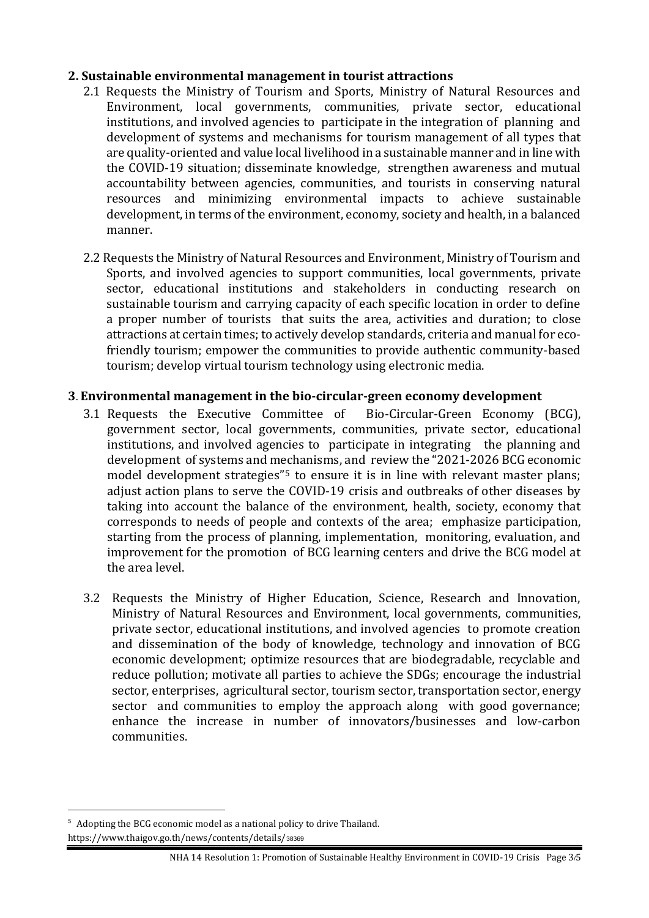#### **2. Sustainable environmental management in tourist attractions**

- 2.1 Requests the Ministry of Tourism and Sports, Ministry of Natural Resources and Environment, local governments, communities, private sector, educational institutions, and involved agencies to participate in the integration of planning and development of systems and mechanisms for tourism management of all types that are quality-oriented and value local livelihood in a sustainable manner and in line with the COVID-19 situation; disseminate knowledge, strengthen awareness and mutual accountability between agencies, communities, and tourists in conserving natural resources and minimizing environmental impacts to achieve sustainable development, in terms of the environment, economy, society and health, in a balanced manner.
- 2.2 Requests the Ministry of Natural Resources and Environment, Ministry of Tourism and Sports, and involved agencies to support communities, local governments, private sector, educational institutions and stakeholders in conducting research on sustainable tourism and carrying capacity of each specific location in order to define a proper number of tourists that suits the area, activities and duration; to close attractions at certain times; to actively develop standards, criteria and manual for ecofriendly tourism; empower the communities to provide authentic community-based tourism; develop virtual tourism technology using electronic media.

## **3. Environmental management in the bio-circular-green economy development**

- 3.1 Requests the Executive Committee of Bio-Circular-Green Economy (BCG), government sector, local governments, communities, private sector, educational institutions, and involved agencies to participate in integrating the planning and development of systems and mechanisms, and review the "2021-2026 BCG economic model development strategies<sup>"5</sup> to ensure it is in line with relevant master plans; adjust action plans to serve the COVID-19 crisis and outbreaks of other diseases by taking into account the balance of the environment, health, society, economy that corresponds to needs of people and contexts of the area; emphasize participation, starting from the process of planning, implementation, monitoring, evaluation, and improvement for the promotion of BCG learning centers and drive the BCG model at the area level.
- 3.2 Requests the Ministry of Higher Education, Science, Research and Innovation, Ministry of Natural Resources and Environment, local governments, communities, private sector, educational institutions, and involved agencies to promote creation and dissemination of the body of knowledge, technology and innovation of BCG economic development; optimize resources that are biodegradable, recyclable and reduce pollution; motivate all parties to achieve the SDGs; encourage the industrial sector, enterprises, agricultural sector, tourism sector, transportation sector, energy sector and communities to employ the approach along with good governance; enhance the increase in number of innovators/businesses and low-carbon communities.

<sup>5</sup> Adopting the BCG economic model as a national policy to drive Thailand. https://www.thaigov.go.th/news/contents/details/38369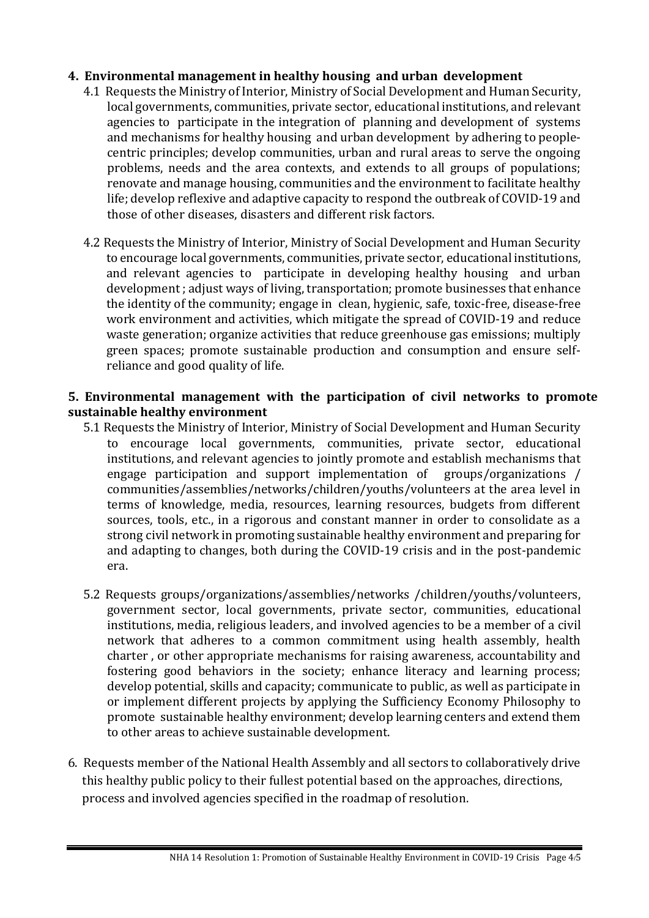## **4. Environmental management in healthy housing and urban development**

- 4.1 Requests the Ministry of Interior, Ministry of Social Development and Human Security, local governments, communities, private sector, educational institutions, and relevant agencies to participate in the integration of planning and development of systems and mechanisms for healthy housing and urban development by adhering to peoplecentric principles; develop communities, urban and rural areas to serve the ongoing problems, needs and the area contexts, and extends to all groups of populations; renovate and manage housing, communities and the environment to facilitate healthy life; develop reflexive and adaptive capacity to respond the outbreak of COVID-19 and those of other diseases, disasters and different risk factors.
- 4.2 Requests the Ministry of Interior, Ministry of Social Development and Human Security to encourage local governments, communities, private sector, educational institutions, and relevant agencies to participate in developing healthy housing and urban development ; adjust ways of living, transportation; promote businesses that enhance the identity of the community; engage in clean, hygienic, safe, toxic-free, disease-free work environment and activities, which mitigate the spread of COVID-19 and reduce waste generation; organize activities that reduce greenhouse gas emissions; multiply green spaces; promote sustainable production and consumption and ensure selfreliance and good quality of life.

## **5. Environmental management with the participation of civil networks to promote sustainable healthy environment**

- 5.1 Requests the Ministry of Interior, Ministry of Social Development and Human Security to encourage local governments, communities, private sector, educational institutions, and relevant agencies to jointly promote and establish mechanisms that engage participation and support implementation of groups/organizations / communities/assemblies/networks/children/youths/volunteers at the area level in terms of knowledge, media, resources, learning resources, budgets from different sources, tools, etc., in a rigorous and constant manner in order to consolidate as a strong civil network in promoting sustainable healthy environment and preparing for and adapting to changes, both during the COVID-19 crisis and in the post-pandemic era.
- 5.2 Requests groups/organizations/assemblies/networks /children/youths/volunteers, government sector, local governments, private sector, communities, educational institutions, media, religious leaders, and involved agencies to be a member of a civil network that adheres to a common commitment using health assembly, health charter , or other appropriate mechanisms for raising awareness, accountability and fostering good behaviors in the society; enhance literacy and learning process; develop potential, skills and capacity; communicate to public, as well as participate in or implement different projects by applying the Sufficiency Economy Philosophy to promote sustainable healthy environment; develop learning centers and extend them to other areas to achieve sustainable development.
- 6. Requests member of the National Health Assembly and all sectors to collaboratively drive this healthy public policy to their fullest potential based on the approaches, directions, process and involved agencies specified in the roadmap of resolution.